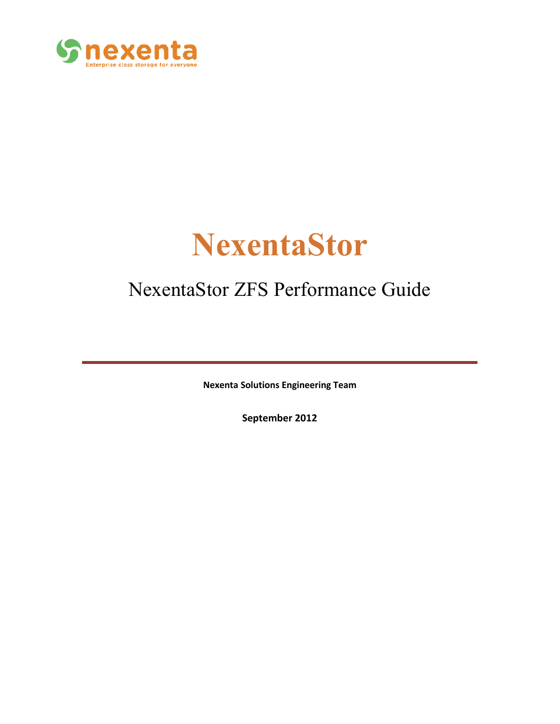

# **NexentaStor**

# NexentaStor ZFS Performance Guide

**Nexenta Solutions Engineering Team**

**September 2012**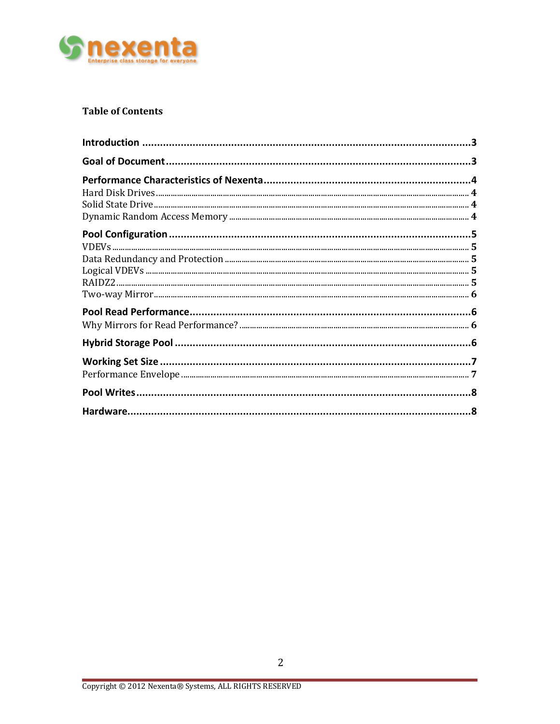

#### **Table of Contents**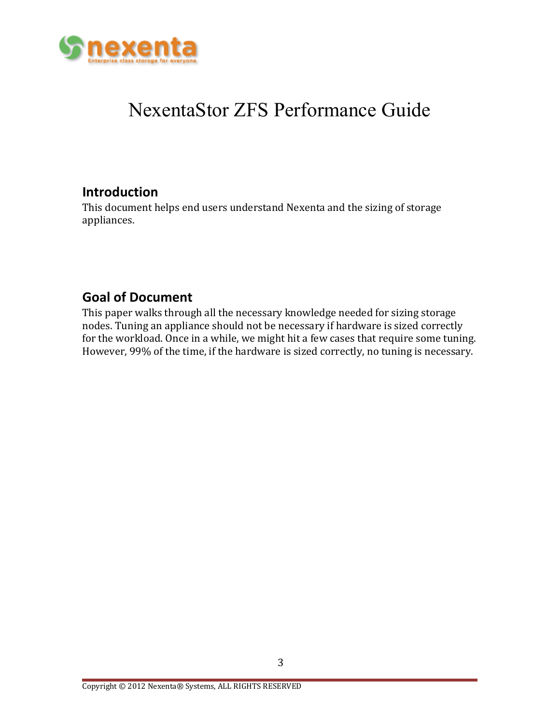

# NexentaStor ZFS Performance Guide

# **Introduction**

This document helps end users understand Nexenta and the sizing of storage appliances.

# **Goal of Document**

This paper walks through all the necessary knowledge needed for sizing storage nodes. Tuning an appliance should not be necessary if hardware is sized correctly for the workload. Once in a while, we might hit a few cases that require some tuning. However, 99% of the time, if the hardware is sized correctly, no tuning is necessary.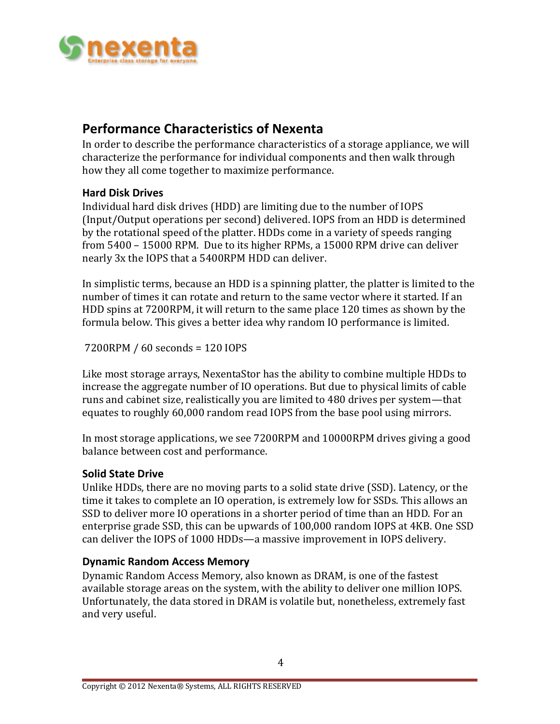

## **Performance Characteristics of Nexenta**

In order to describe the performance characteristics of a storage appliance, we will characterize the performance for individual components and then walk through how they all come together to maximize performance.

#### **Hard Disk Drives**

Individual hard disk drives (HDD) are limiting due to the number of IOPS (Input/Output operations per second) delivered. IOPS from an HDD is determined by the rotational speed of the platter. HDDs come in a variety of speeds ranging from 5400 – 15000 RPM. Due to its higher RPMs, a 15000 RPM drive can deliver nearly 3x the IOPS that a 5400RPM HDD can deliver.

In simplistic terms, because an HDD is a spinning platter, the platter is limited to the number of times it can rotate and return to the same vector where it started. If an HDD spins at 7200RPM, it will return to the same place 120 times as shown by the formula below. This gives a better idea why random IO performance is limited.

7200RPM / 60 seconds = 120 IOPS

Like most storage arrays, NexentaStor has the ability to combine multiple HDDs to increase the aggregate number of IO operations. But due to physical limits of cable runs and cabinet size, realistically you are limited to 480 drives per system—that equates to roughly 60,000 random read IOPS from the base pool using mirrors.

In most storage applications, we see 7200RPM and 10000RPM drives giving a good balance between cost and performance.

#### **Solid State Drive**

Unlike HDDs, there are no moving parts to a solid state drive (SSD). Latency, or the time it takes to complete an IO operation, is extremely low for SSDs. This allows an SSD to deliver more IO operations in a shorter period of time than an HDD. For an enterprise grade SSD, this can be upwards of 100,000 random IOPS at 4KB. One SSD can deliver the IOPS of 1000 HDDs—a massive improvement in IOPS delivery.

#### **Dynamic Random Access Memory**

Dynamic Random Access Memory, also known as DRAM, is one of the fastest available storage areas on the system, with the ability to deliver one million IOPS. Unfortunately, the data stored in DRAM is volatile but, nonetheless, extremely fast and very useful.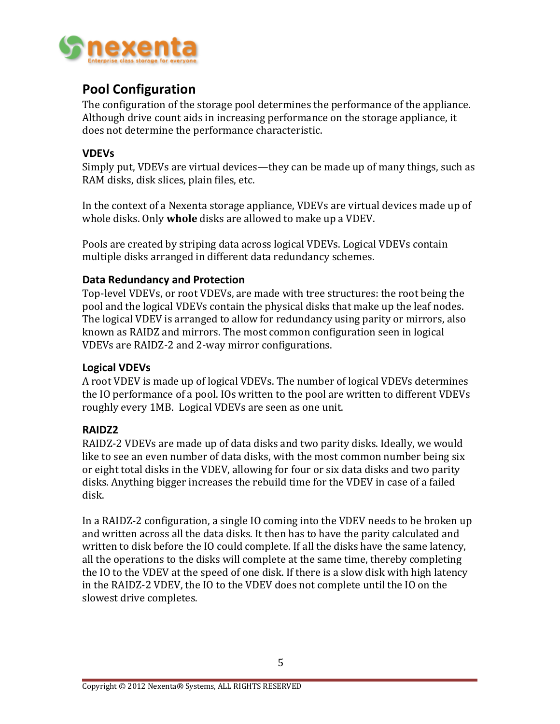

# **Pool Configuration**

The configuration of the storage pool determines the performance of the appliance. Although drive count aids in increasing performance on the storage appliance, it does not determine the performance characteristic.

#### **VDEVs**

Simply put, VDEVs are virtual devices—they can be made up of many things, such as RAM disks, disk slices, plain files, etc.

In the context of a Nexenta storage appliance, VDEVs are virtual devices made up of whole disks. Only **whole** disks are allowed to make up a VDEV.

Pools are created by striping data across logical VDEVs. Logical VDEVs contain multiple disks arranged in different data redundancy schemes.

#### **Data Redundancy and Protection**

Top-level VDEVs, or root VDEVs, are made with tree structures: the root being the pool and the logical VDEVs contain the physical disks that make up the leaf nodes. The logical VDEV is arranged to allow for redundancy using parity or mirrors, also known as RAIDZ and mirrors. The most common configuration seen in logical VDEVs are RAIDZ-2 and 2-way mirror configurations.

#### **Logical VDEVs**

A root VDEV is made up of logical VDEVs. The number of logical VDEVs determines the IO performance of a pool. IOs written to the pool are written to different VDEVs roughly every 1MB. Logical VDEVs are seen as one unit.

#### **RAIDZ2**

RAIDZ-2 VDEVs are made up of data disks and two parity disks. Ideally, we would like to see an even number of data disks, with the most common number being six or eight total disks in the VDEV, allowing for four or six data disks and two parity disks. Anything bigger increases the rebuild time for the VDEV in case of a failed disk.

In a RAIDZ-2 configuration, a single IO coming into the VDEV needs to be broken up and written across all the data disks. It then has to have the parity calculated and written to disk before the IO could complete. If all the disks have the same latency, all the operations to the disks will complete at the same time, thereby completing the IO to the VDEV at the speed of one disk. If there is a slow disk with high latency in the RAIDZ-2 VDEV, the IO to the VDEV does not complete until the IO on the slowest drive completes.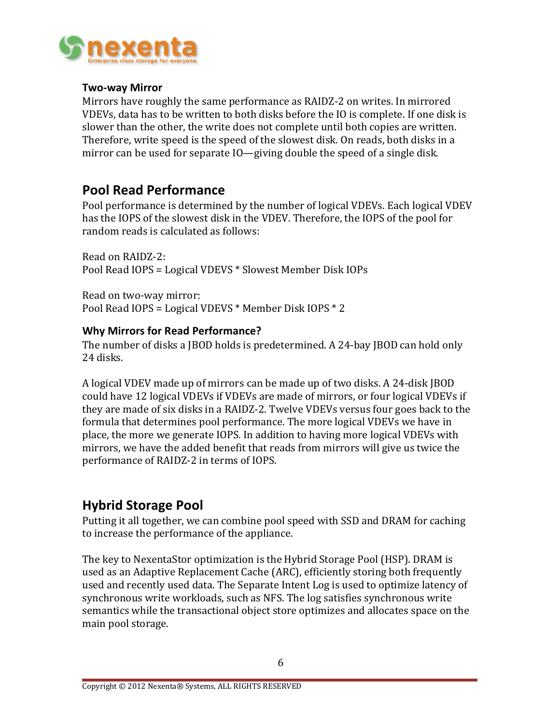

#### **Two-way Mirror**

Mirrors have roughly the same performance as RAIDZ-2 on writes. In mirrored VDEVs, data has to be written to both disks before the IO is complete. If one disk is slower than the other, the write does not complete until both copies are written. Therefore, write speed is the speed of the slowest disk. On reads, both disks in a mirror can be used for separate IO—giving double the speed of a single disk.

# **Pool Read Performance**

Pool performance is determined by the number of logical VDEVs. Each logical VDEV has the IOPS of the slowest disk in the VDEV. Therefore, the IOPS of the pool for random reads is calculated as follows:

Read on RAIDZ-2: Pool Read IOPS = Logical VDEVS \* Slowest Member Disk IOPs

Read on two-way mirror: Pool Read IOPS = Logical VDEVS \* Member Disk IOPS \* 2

#### **Why Mirrors for Read Performance?**

The number of disks a JBOD holds is predetermined. A 24-bay JBOD can hold only 24 disks.

A logical VDEV made up of mirrors can be made up of two disks. A 24-disk JBOD could have 12 logical VDEVs if VDEVs are made of mirrors, or four logical VDEVs if they are made of six disks in a RAIDZ-2. Twelve VDEVs versus four goes back to the formula that determines pool performance. The more logical VDEVs we have in place, the more we generate IOPS. In addition to having more logical VDEVs with mirrors, we have the added benefit that reads from mirrors will give us twice the performance of RAIDZ-2 in terms of IOPS.

### **Hybrid Storage Pool**

Putting it all together, we can combine pool speed with SSD and DRAM for caching to increase the performance of the appliance.

The key to NexentaStor optimization is the Hybrid Storage Pool (HSP). DRAM is used as an Adaptive Replacement Cache (ARC), efficiently storing both frequently used and recently used data. The Separate Intent Log is used to optimize latency of synchronous write workloads, such as NFS. The log satisfies synchronous write semantics while the transactional object store optimizes and allocates space on the main pool storage.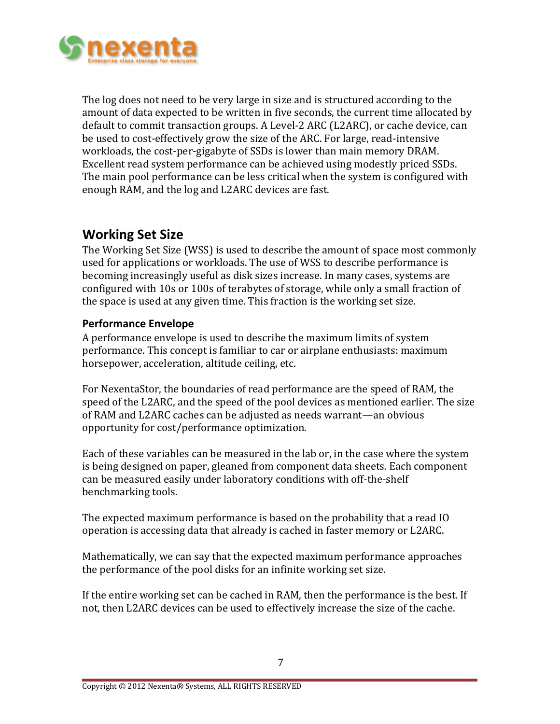

The log does not need to be very large in size and is structured according to the amount of data expected to be written in five seconds, the current time allocated by default to commit transaction groups. A Level-2 ARC (L2ARC), or cache device, can be used to cost-effectively grow the size of the ARC. For large, read-intensive workloads, the cost-per-gigabyte of SSDs is lower than main memory DRAM. Excellent read system performance can be achieved using modestly priced SSDs. The main pool performance can be less critical when the system is configured with enough RAM, and the log and L2ARC devices are fast.

# **Working Set Size**

The Working Set Size (WSS) is used to describe the amount of space most commonly used for applications or workloads. The use of WSS to describe performance is becoming increasingly useful as disk sizes increase. In many cases, systems are configured with 10s or 100s of terabytes of storage, while only a small fraction of the space is used at any given time. This fraction is the working set size.

#### **Performance Envelope**

A performance envelope is used to describe the maximum limits of system performance. This concept is familiar to car or airplane enthusiasts: maximum horsepower, acceleration, altitude ceiling, etc.

For NexentaStor, the boundaries of read performance are the speed of RAM, the speed of the L2ARC, and the speed of the pool devices as mentioned earlier. The size of RAM and L2ARC caches can be adjusted as needs warrant—an obvious opportunity for cost/performance optimization.

Each of these variables can be measured in the lab or, in the case where the system is being designed on paper, gleaned from component data sheets. Each component can be measured easily under laboratory conditions with off-the-shelf benchmarking tools.

The expected maximum performance is based on the probability that a read IO operation is accessing data that already is cached in faster memory or L2ARC.

Mathematically, we can say that the expected maximum performance approaches the performance of the pool disks for an infinite working set size.

If the entire working set can be cached in RAM, then the performance is the best. If not, then L2ARC devices can be used to effectively increase the size of the cache.